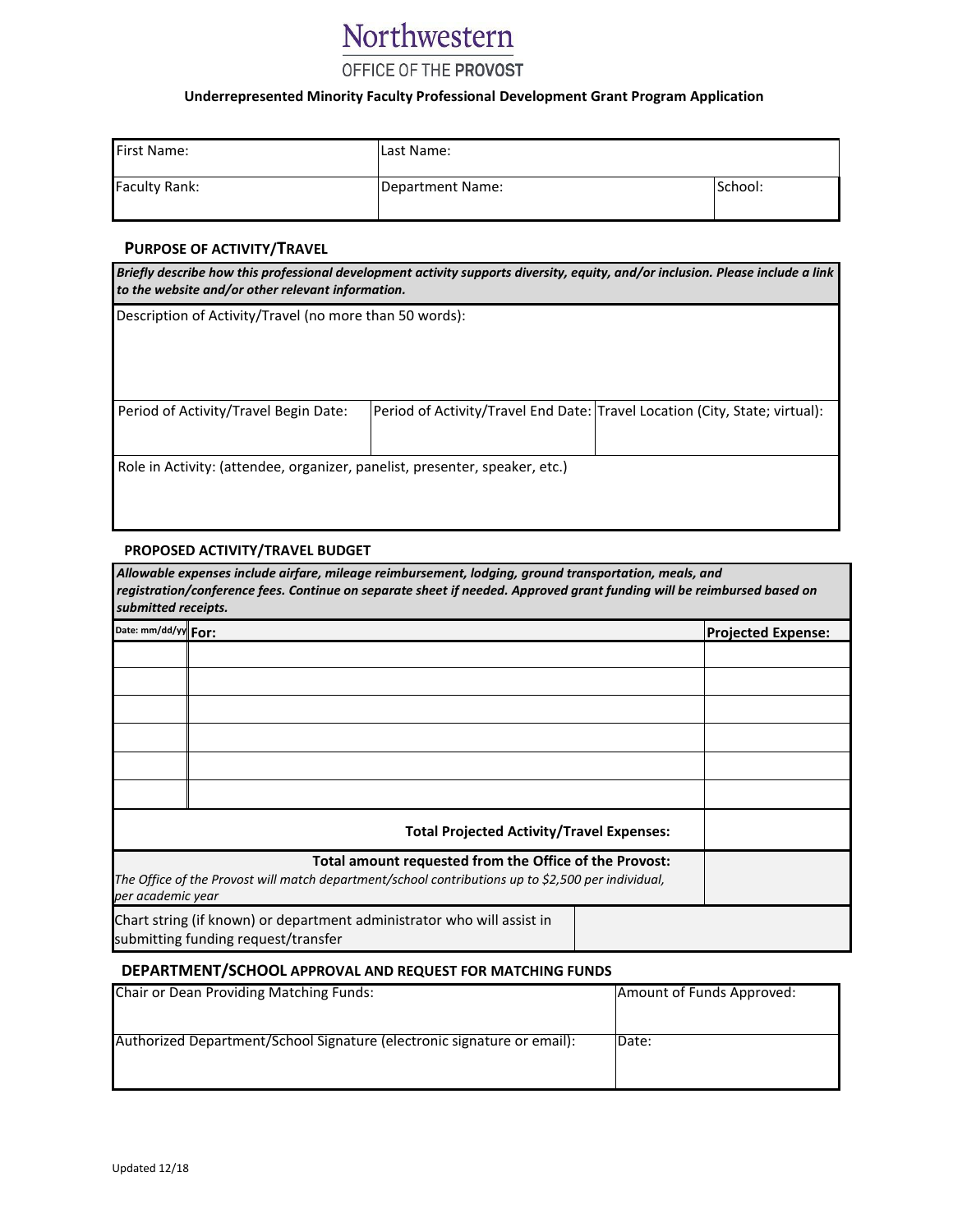# Northwestern

### OFFICE OF THE PROVOST

#### **Underrepresented Minority Faculty Professional Development Grant Program Application**

| <b>First Name:</b>   | Last Name:       |         |
|----------------------|------------------|---------|
| <b>Faculty Rank:</b> | Department Name: | School: |

#### **PURPOSE OF ACTIVITY/TRAVEL**

| Briefly describe how this professional development activity supports diversity, equity, and/or inclusion. Please include a link<br>to the website and/or other relevant information. |  |                                                                             |  |  |  |
|--------------------------------------------------------------------------------------------------------------------------------------------------------------------------------------|--|-----------------------------------------------------------------------------|--|--|--|
| Description of Activity/Travel (no more than 50 words):                                                                                                                              |  |                                                                             |  |  |  |
|                                                                                                                                                                                      |  |                                                                             |  |  |  |
|                                                                                                                                                                                      |  |                                                                             |  |  |  |
| Period of Activity/Travel Begin Date:                                                                                                                                                |  | Period of Activity/Travel End Date: Travel Location (City, State; virtual): |  |  |  |
|                                                                                                                                                                                      |  |                                                                             |  |  |  |
| Role in Activity: (attendee, organizer, panelist, presenter, speaker, etc.)                                                                                                          |  |                                                                             |  |  |  |
|                                                                                                                                                                                      |  |                                                                             |  |  |  |
|                                                                                                                                                                                      |  |                                                                             |  |  |  |

#### **PROPOSED ACTIVITY/TRAVEL BUDGET**

| Allowable expenses include airfare, mileage reimbursement, lodging, ground transportation, meals, and<br>registration/conference fees. Continue on separate sheet if needed. Approved grant funding will be reimbursed based on<br>submitted receipts. |                                                                                                                                                              |  |                           |  |
|--------------------------------------------------------------------------------------------------------------------------------------------------------------------------------------------------------------------------------------------------------|--------------------------------------------------------------------------------------------------------------------------------------------------------------|--|---------------------------|--|
| Date: mm/dd/yy For:                                                                                                                                                                                                                                    |                                                                                                                                                              |  | <b>Projected Expense:</b> |  |
|                                                                                                                                                                                                                                                        |                                                                                                                                                              |  |                           |  |
|                                                                                                                                                                                                                                                        |                                                                                                                                                              |  |                           |  |
|                                                                                                                                                                                                                                                        |                                                                                                                                                              |  |                           |  |
|                                                                                                                                                                                                                                                        |                                                                                                                                                              |  |                           |  |
|                                                                                                                                                                                                                                                        |                                                                                                                                                              |  |                           |  |
|                                                                                                                                                                                                                                                        |                                                                                                                                                              |  |                           |  |
|                                                                                                                                                                                                                                                        | <b>Total Projected Activity/Travel Expenses:</b>                                                                                                             |  |                           |  |
| per academic year                                                                                                                                                                                                                                      | Total amount requested from the Office of the Provost:<br>The Office of the Provost will match department/school contributions up to \$2,500 per individual, |  |                           |  |
|                                                                                                                                                                                                                                                        | Chart string (if known) or department administrator who will assist in<br>submitting funding request/transfer                                                |  |                           |  |

#### **DEPARTMENT/SCHOOL APPROVAL AND REQUEST FOR MATCHING FUNDS**

| Chair or Dean Providing Matching Funds:                                 | Amount of Funds Approved: |
|-------------------------------------------------------------------------|---------------------------|
| Authorized Department/School Signature (electronic signature or email): | Date:                     |